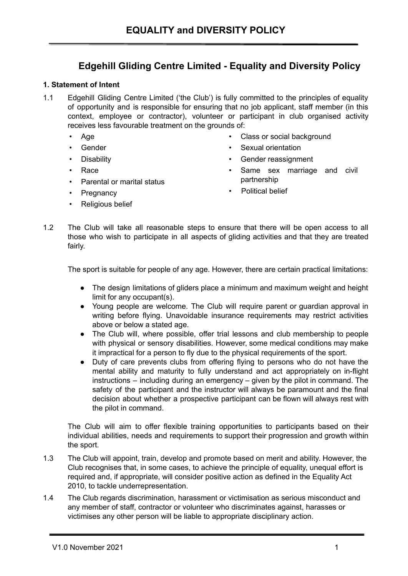# **Edgehill Gliding Centre Limited - Equality and Diversity Policy**

## **1. Statement of Intent**

- 1.1 Edgehill Gliding Centre Limited ('the Club') is fully committed to the principles of equality of opportunity and is responsible for ensuring that no job applicant, staff member (in this context, employee or contractor), volunteer or participant in club organised activity receives less favourable treatment on the grounds of:
	- Age
	- Gender
	- **Disability**
	- Race
	- Parental or marital status

• Same sex marriage and civil partnership

• Sexual orientation • Gender reassignment

Class or social background

- 
- Pregnancy
- Religious belief
- Political belief
- 1.2 The Club will take all reasonable steps to ensure that there will be open access to all those who wish to participate in all aspects of gliding activities and that they are treated fairly.

The sport is suitable for people of any age. However, there are certain practical limitations:

- The design limitations of gliders place a minimum and maximum weight and height limit for any occupant(s).
- Young people are welcome. The Club will require parent or guardian approval in writing before flying. Unavoidable insurance requirements may restrict activities above or below a stated age.
- The Club will, where possible, offer trial lessons and club membership to people with physical or sensory disabilities. However, some medical conditions may make it impractical for a person to fly due to the physical requirements of the sport.
- Duty of care prevents clubs from offering flying to persons who do not have the mental ability and maturity to fully understand and act appropriately on in-flight instructions – including during an emergency – given by the pilot in command. The safety of the participant and the instructor will always be paramount and the final decision about whether a prospective participant can be flown will always rest with the pilot in command.

The Club will aim to offer flexible training opportunities to participants based on their individual abilities, needs and requirements to support their progression and growth within the sport.

- 1.3 The Club will appoint, train, develop and promote based on merit and ability. However, the Club recognises that, in some cases, to achieve the principle of equality, unequal effort is required and, if appropriate, will consider positive action as defined in the Equality Act 2010, to tackle underrepresentation.
- 1.4 The Club regards discrimination, harassment or victimisation as serious misconduct and any member of staff, contractor or volunteer who discriminates against, harasses or victimises any other person will be liable to appropriate disciplinary action.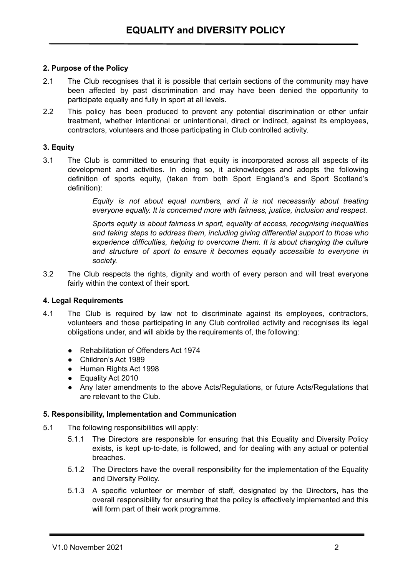# **2. Purpose of the Policy**

- 2.1 The Club recognises that it is possible that certain sections of the community may have been affected by past discrimination and may have been denied the opportunity to participate equally and fully in sport at all levels.
- 2.2 This policy has been produced to prevent any potential discrimination or other unfair treatment, whether intentional or unintentional, direct or indirect, against its employees, contractors, volunteers and those participating in Club controlled activity.

## **3. Equity**

3.1 The Club is committed to ensuring that equity is incorporated across all aspects of its development and activities. In doing so, it acknowledges and adopts the following definition of sports equity, (taken from both Sport England's and Sport Scotland's definition):

> *Equity is not about equal numbers, and it is not necessarily about treating everyone equally. It is concerned more with fairness, justice, inclusion and respect.*

> *Sports equity is about fairness in sport, equality of access, recognising inequalities and taking steps to address them, including giving differential support to those who experience difficulties, helping to overcome them. It is about changing the culture and structure of sport to ensure it becomes equally accessible to everyone in society.*

3.2 The Club respects the rights, dignity and worth of every person and will treat everyone fairly within the context of their sport.

#### **4. Legal Requirements**

- 4.1 The Club is required by law not to discriminate against its employees, contractors, volunteers and those participating in any Club controlled activity and recognises its legal obligations under, and will abide by the requirements of, the following:
	- Rehabilitation of Offenders Act 1974
	- Children's Act 1989
	- Human Rights Act 1998
	- Equality Act 2010
	- Any later amendments to the above Acts/Regulations, or future Acts/Regulations that are relevant to the Club.

#### **5. Responsibility, Implementation and Communication**

- 5.1 The following responsibilities will apply:
	- 5.1.1 The Directors are responsible for ensuring that this Equality and Diversity Policy exists, is kept up-to-date, is followed, and for dealing with any actual or potential breaches.
	- 5.1.2 The Directors have the overall responsibility for the implementation of the Equality and Diversity Policy.
	- 5.1.3 A specific volunteer or member of staff, designated by the Directors, has the overall responsibility for ensuring that the policy is effectively implemented and this will form part of their work programme.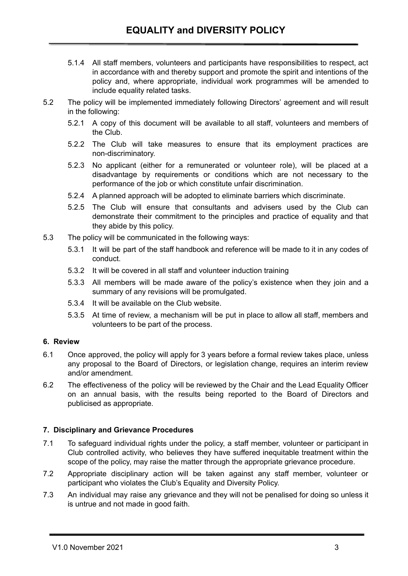- 5.1.4 All staff members, volunteers and participants have responsibilities to respect, act in accordance with and thereby support and promote the spirit and intentions of the policy and, where appropriate, individual work programmes will be amended to include equality related tasks.
- 5.2 The policy will be implemented immediately following Directors' agreement and will result in the following:
	- 5.2.1 A copy of this document will be available to all staff, volunteers and members of the Club.
	- 5.2.2 The Club will take measures to ensure that its employment practices are non-discriminatory.
	- 5.2.3 No applicant (either for a remunerated or volunteer role), will be placed at a disadvantage by requirements or conditions which are not necessary to the performance of the job or which constitute unfair discrimination.
	- 5.2.4 A planned approach will be adopted to eliminate barriers which discriminate.
	- 5.2.5 The Club will ensure that consultants and advisers used by the Club can demonstrate their commitment to the principles and practice of equality and that they abide by this policy.
- 5.3 The policy will be communicated in the following ways:
	- 5.3.1 It will be part of the staff handbook and reference will be made to it in any codes of conduct.
	- 5.3.2 It will be covered in all staff and volunteer induction training
	- 5.3.3 All members will be made aware of the policy's existence when they join and a summary of any revisions will be promulgated.
	- 5.3.4 It will be available on the Club website.
	- 5.3.5 At time of review, a mechanism will be put in place to allow all staff, members and volunteers to be part of the process.

# **6. Review**

- 6.1 Once approved, the policy will apply for 3 years before a formal review takes place, unless any proposal to the Board of Directors, or legislation change, requires an interim review and/or amendment.
- 6.2 The effectiveness of the policy will be reviewed by the Chair and the Lead Equality Officer on an annual basis, with the results being reported to the Board of Directors and publicised as appropriate.

# **7. Disciplinary and Grievance Procedures**

- 7.1 To safeguard individual rights under the policy, a staff member, volunteer or participant in Club controlled activity, who believes they have suffered inequitable treatment within the scope of the policy, may raise the matter through the appropriate grievance procedure.
- 7.2 Appropriate disciplinary action will be taken against any staff member, volunteer or participant who violates the Club's Equality and Diversity Policy.
- 7.3 An individual may raise any grievance and they will not be penalised for doing so unless it is untrue and not made in good faith.